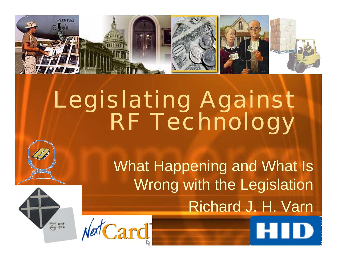

# Legislating Against RF Technology

What Happening and What Is Wrong with the Legislation Richard J. H. Varn



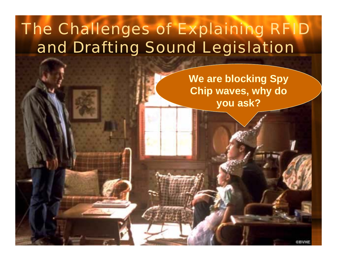### The Challenges of Explaining RFID and Drafting Sound Legislation

**We are blocking Spy Chip waves, why do you ask?**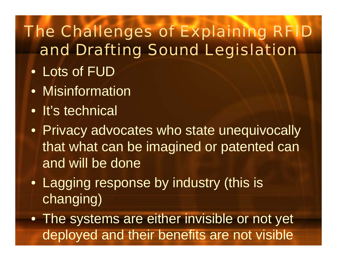### The Challenges of Explaining RFID and Drafting Sound Legislation

- Lots of FUD
- Misinformation
- It's technical
- Privacy advocates who state unequivocally that what can be imagined or patented can and will be done
- Lagging response by industry (this is changing)
- The systems are either invisible or not yet deployed and their benefits are not visible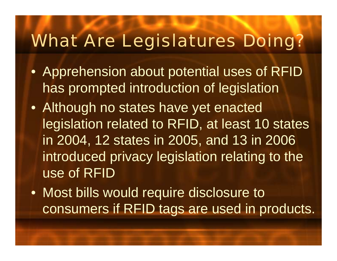### What Are Legislatures Doing?

- Apprehension about potential uses of RFID has prompted introduction of legislation
- Although no states have yet enacted legislation related to RFID, at least 10 states in 2004, 12 states in 2005, and 13 in 2006 introduced privacy legislation relating to the use of RFID
- Most bills would require disclosure to consumers if RFID tags are used in products.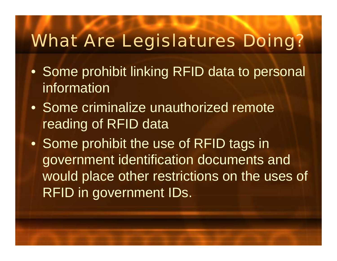### What Are Legislatures Doing?

- Some prohibit linking RFID data to personal information
- Some criminalize unauthorized remote reading of RFID data
- Some prohibit the use of RFID tags in government identification documents and would place other restrictions on the uses of RFID in government IDs.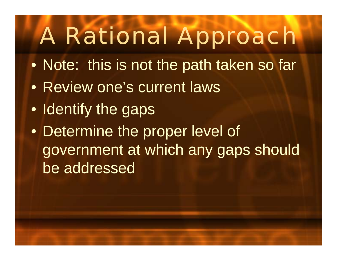- $\bullet$ • Note: this is not the path taken so far
- •Review one's current laws
- Identify the gaps
- $\bullet$  Determine the proper level of government at which any gaps should be addressed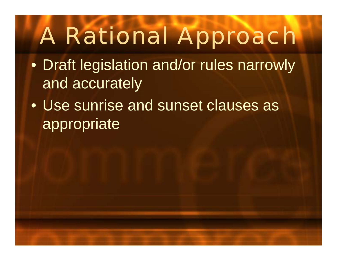- $\bullet$  Draft legislation and/or rules narrowly and accurately
- $\bullet$  Use sunrise and sunset clauses as appropriate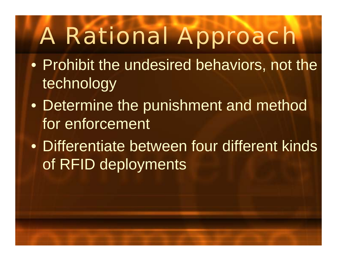- $\bullet$ • Prohibit the undesired behaviors, not the technology
- $\bullet$ • Determine the punishment and method for enforcement
- Differentiate between four different kinds of RFID deployments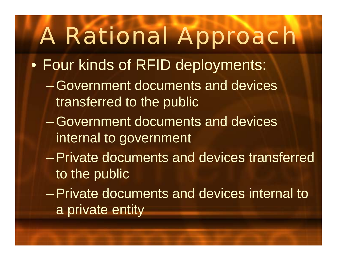- $\bullet$  Four kinds of RFID deployments:
	- $\mathcal{L}_{\mathcal{A}}$  , and the set of the set of the set of the set of the set of the set of the set of the set of the set of the set of the set of the set of the set of the set of the set of the set of the set of the set of th Government documents and devices transferred to the public
	- $\mathcal{L}_{\mathcal{A}}$  , and the set of the set of the set of the set of the set of the set of the set of the set of the set of the set of the set of the set of the set of the set of the set of the set of the set of the set of th Government documents and devices internal to government
	- $\mathcal{L}_{\mathcal{A}}$  , and the set of the set of the set of the set of the set of the set of the set of the set of the set of the set of the set of the set of the set of the set of the set of the set of the set of the set of th Private documents and devices transferred to the public
	- $\mathcal{L}_{\mathcal{A}}$  , and the set of the set of the set of the set of the set of the set of the set of the set of the set of the set of the set of the set of the set of the set of the set of the set of the set of the set of th Private documents and devices internal to a private entity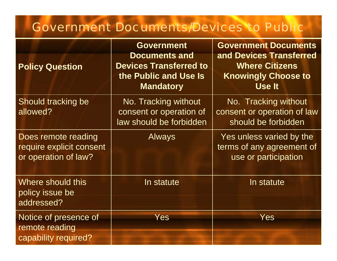#### Government Documents/Devices to Public

| <b>Policy Question</b>                                                  | <b>Government</b><br><b>Documents and</b><br><b>Devices Transferred to</b><br>the Public and Use Is<br><b>Mandatory</b> | <b>Government Documents</b><br>and Devices Transferred<br><b>Where Citizens</b><br><b>Knowingly Choose to</b><br><b>Use It</b> |
|-------------------------------------------------------------------------|-------------------------------------------------------------------------------------------------------------------------|--------------------------------------------------------------------------------------------------------------------------------|
| Should tracking be<br>allowed?                                          | No. Tracking without<br>consent or operation of<br>law should be forbidden                                              | No. Tracking without<br>consent or operation of law<br>should be forbidden                                                     |
| Does remote reading<br>require explicit consent<br>or operation of law? | <b>Always</b>                                                                                                           | Yes unless varied by the<br>terms of any agreement of<br>use or participation                                                  |
| Where should this<br>policy issue be<br>addressed?                      | In statute                                                                                                              | In statute                                                                                                                     |
| Notice of presence of<br>remote reading<br>capability required?         | Yes                                                                                                                     | Yes                                                                                                                            |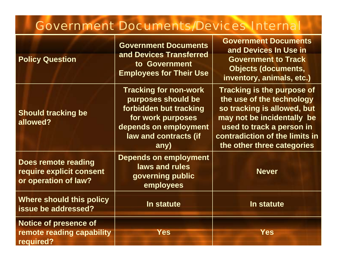#### Government Documents/Devices Internal

| <b>Policy Question</b>                                                  | <b>Government Documents</b><br>and Devices Transferred<br>to Government<br><b>Employees for Their Use</b>                                                   | <b>Government Documents</b><br>and Devices In Use in                                                                                                                                                              |
|-------------------------------------------------------------------------|-------------------------------------------------------------------------------------------------------------------------------------------------------------|-------------------------------------------------------------------------------------------------------------------------------------------------------------------------------------------------------------------|
|                                                                         |                                                                                                                                                             | <b>Government to Track</b><br><b>Objects (documents,</b><br>inventory, animals, etc.)                                                                                                                             |
| <b>Should tracking be</b><br>allowed?                                   | <b>Tracking for non-work</b><br>purposes should be<br>forbidden but tracking<br>for work purposes<br>depends on employment<br>law and contracts (if<br>any) | Tracking is the purpose of<br>the use of the technology<br>so tracking is allowed, but<br>may not be incidentally be<br>used to track a person in<br>contradiction of the limits in<br>the other three categories |
| Does remote reading<br>require explicit consent<br>or operation of law? | <b>Depends on employment</b><br>laws and rules<br>governing public<br>employees                                                                             | <b>Never</b>                                                                                                                                                                                                      |
| Where should this policy<br>issue be addressed?                         | In statute                                                                                                                                                  | In statute                                                                                                                                                                                                        |
| <b>Notice of presence of</b><br>remote reading capability<br>required?  | Yes                                                                                                                                                         | <b>Yes</b>                                                                                                                                                                                                        |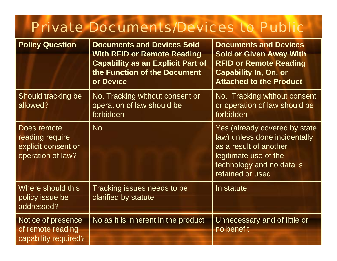#### Private Documents/Devices to Public

| <b>Policy Question</b>                                                     | <b>Documents and Devices Sold</b>                                                                                           | <b>Documents and Devices</b>                                                                                                                                       |  |
|----------------------------------------------------------------------------|-----------------------------------------------------------------------------------------------------------------------------|--------------------------------------------------------------------------------------------------------------------------------------------------------------------|--|
|                                                                            | <b>With RFID or Remote Reading</b><br><b>Capability as an Explicit Part of</b><br>the Function of the Document<br>or Device | <b>Sold or Given Away With</b><br><b>RFID or Remote Reading</b><br><b>Capability In, On, or</b><br><b>Attached to the Product</b>                                  |  |
| Should tracking be<br>allowed?                                             | No. Tracking without consent or<br>operation of law should be<br>forbidden                                                  | No. Tracking without consent<br>or operation of law should be<br>forbidden                                                                                         |  |
| Does remote<br>reading require<br>explicit consent or<br>operation of law? | <b>No</b>                                                                                                                   | Yes (already covered by state<br>law) unless done incidentally<br>as a result of another<br>legitimate use of the<br>technology and no data is<br>retained or used |  |
| Where should this<br>policy issue be<br>addressed?                         | Tracking issues needs to be<br>clarified by statute                                                                         | In statute                                                                                                                                                         |  |
| Notice of presence<br>of remote reading<br>capability required?            | No as it is inherent in the product                                                                                         | Unnecessary and of little or<br>no benefit                                                                                                                         |  |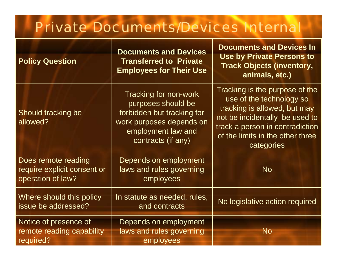#### Private Documents/Devices Internal

| <b>Policy Question</b>                                                  | <b>Documents and Devices</b><br><b>Transferred to Private</b><br><b>Employees for Their Use</b>                                                   | <b>Documents and Devices In</b><br><b>Use by Private Persons to</b><br><b>Track Objects (inventory,</b><br>animals, etc.)                                                                                         |
|-------------------------------------------------------------------------|---------------------------------------------------------------------------------------------------------------------------------------------------|-------------------------------------------------------------------------------------------------------------------------------------------------------------------------------------------------------------------|
| Should tracking be<br>allowed?                                          | Tracking for non-work<br>purposes should be<br>forbidden but tracking for<br>work purposes depends on<br>employment law and<br>contracts (if any) | Tracking is the purpose of the<br>use of the technology so<br>tracking is allowed, but may<br>not be incidentally be used to<br>track a person in contradiction<br>of the limits in the other three<br>categories |
| Does remote reading<br>require explicit consent or<br>operation of law? | Depends on employment<br>laws and rules governing<br>employees                                                                                    | <b>No</b>                                                                                                                                                                                                         |
| Where should this policy<br>issue be addressed?                         | In statute as needed, rules,<br>and contracts                                                                                                     | No legislative action required                                                                                                                                                                                    |
| Notice of presence of<br>remote reading capability<br>required?         | Depends on employment<br>laws and rules governing<br>employees                                                                                    | <b>No</b>                                                                                                                                                                                                         |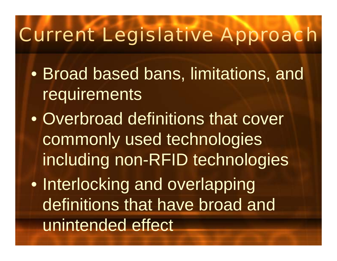## Current Legislative Approach

- $\bullet$ • Broad based bans, limitations, and **requirements**
- $\bullet$ • Overbroad definitions that cover commonly used technologies including non-RFID technologies
- $\bullet$ • Interlocking and overlapping definitions that have broad and unintended effect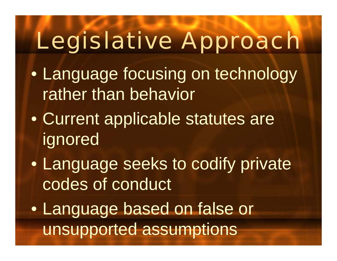# Legislative Approach

- $\bullet$ • Language focusing on technology rather than behavior
- $\bullet$  Current applicable statutes are ignored
- $\bullet$  Language seeks to codify private codes of conduct
- $\bullet$  Language based on false or unsupported assumptions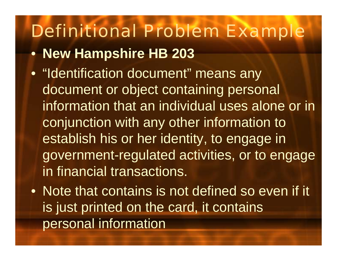- **New Hampshire HB 203**
- "Identification document" means any document or object containing personal information that an individual uses alone or in conjunction with any other information to establish his or her identity, to engage in government-regulated activities, or to engage in financial transactions.
- Note that contains is not defined so even if it is just printed on the card, it contains personal information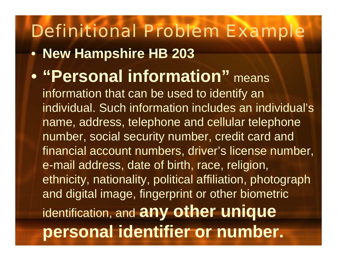#### Definitional Problem Example • **New Hampshire HB 203**   $\bullet$  **"Personal information"** means information that can be used to identify an individual. Such information includes an individual's name, address, telephone and cellular telephone number, social security number, credit card and financial account numbers, driver's license number, e-mail address, date of birth, race, religion, ethnicity, nationality, political affiliation, photograph and digital image, fingerprint or other biometric identification, and **any other unique personal identifier or number.**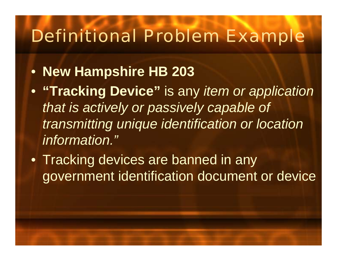- **New Hampshire HB 203**
- **"Tracking Device"** is any *item or application that is actively or passively capable of transmitting unique identification or location information."*
- Tracking devices are banned in any government identification document or device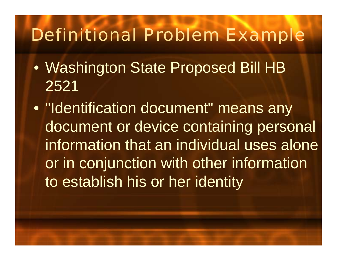- $\bullet$  Washington State Proposed Bill HB 2521
- $\bullet$ • "Identification document" means any document or device containing personal information that an individual uses alone or in conjunction with other information to establish his or her identity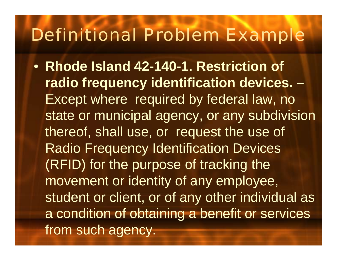• **Rhode Island 42-140-1. Restriction of radio frequency identification devices. –** Except where required by federal law, no state or municipal agency, or any subdivision thereof, shall use, or request the use of Radio Frequency Identification Devices (RFID) for the purpose of tracking the movement or identity of any employee, student or client, or of any other individual as a condition of obtaining a benefit or services from such agency.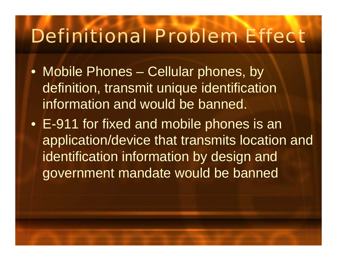- Mobile Phones Cellular phones, by definition, transmit unique identification information and would be banned.
- E-911 for fixed and mobile phones is an application/device that transmits location and identification information by design and government mandate would be banned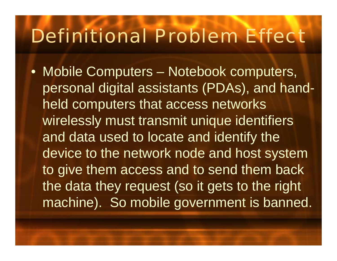• Mobile Computers – Notebook computers, personal digital assistants (PDAs), and handheld computers that access networks wirelessly must transmit unique identifiers and data used to locate and identify the device to the network node and host system to give them access and to send them back the data they request (so it gets to the right machine). So mobile government is banned.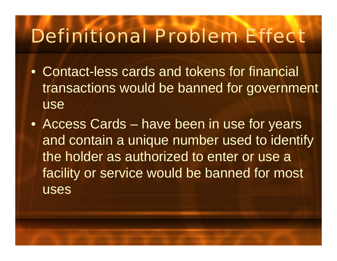- •Contact-less cards and tokens for financial transactions would be banned for government use
- Access Cards have been in use for years and contain a unique number used to identify the holder as authorized to enter or use a facility or service would be banned for most uses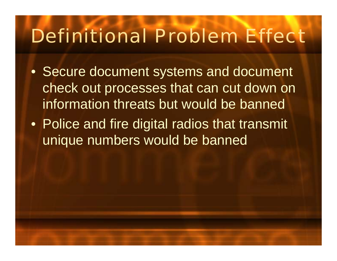- Secure document systems and document check out processes that can cut down on information threats but would be banned
- Police and fire digital radios that transmit unique numbers would be banned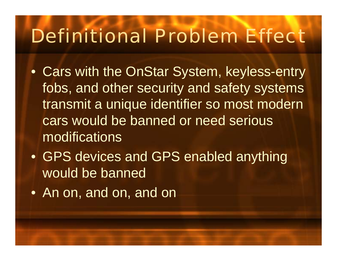- Cars with the OnStar System, keyless-entry fobs, and other security and safety systems transmit a unique identifier so most modern cars would be banned or need serious modifications
- GPS devices and GPS enabled anything would be banned
- An on, and on, and on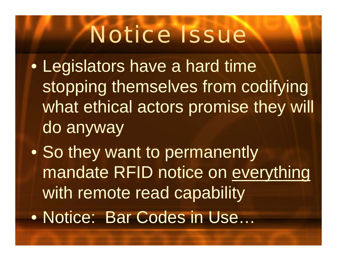# Notice Issue

- $\bullet$  Legislators have a hard time stopping themselves from codifying what ethical actors promise they will do anyway
- $\bullet$ • So they want to permanently mandate RFID notice on everything with remote read capability  $\bullet$ Notice: Bar Codes in Use…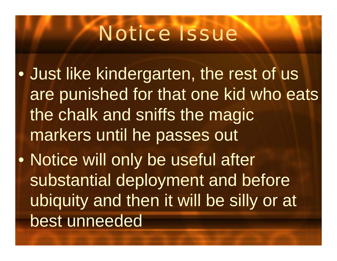# Notice Issue

- $\bullet$  Just like kindergarten, the rest of us are punished for that one kid who eats the chalk and sniffs the magic markers until he passes out  $\bullet$ • Notice will only be useful after
	- substantial deployment and before ubiquity and then it will be silly or at best unneeded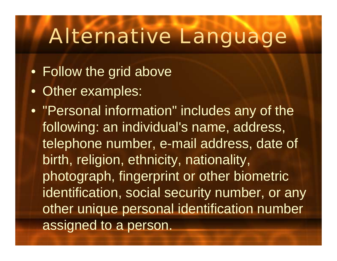- Follow the grid above
- Other examples:
- "Personal information" includes any of the following: an individual's name, address, telephone number, e-mail address, date of birth, religion, ethnicity, nationality, photograph, fingerprint or other biometric identification, social security number, or any other unique personal identification number assigned to a person.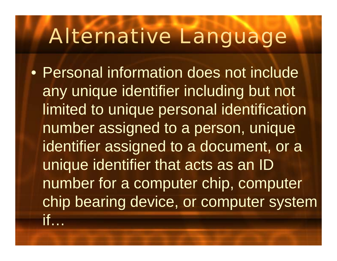$\bullet$  Personal information does not include any unique identifier including but not limited to unique personal identification number assigned to a person, unique identifier assigned to a document, or a unique identifier that acts as an ID number for a computer chip, computer chip bearing device, or computer system if…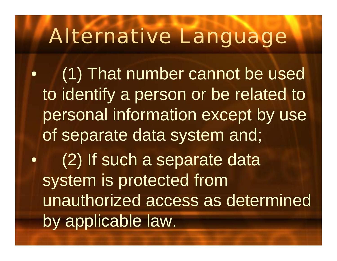•(1) That number cannot be used to identify a person or be related to personal information except by use of separate data system and; •(2) If such a separate data system is protected from unauthorized access as determined by applicable law.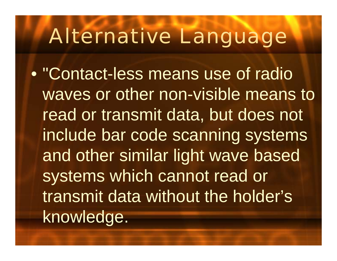$\bullet$ "Contact-less means use of radio waves or other non-visible means to read or transmit data, but does not include bar code scanning systems and other similar light wave based systems which cannot read or transmit data without the holder's knowledge.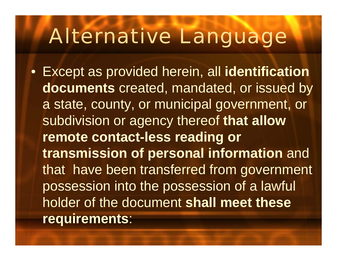• Except as provided herein, all **identification documents** created, mandated, or issued by a state, county, or municipal government, or subdivision or agency thereof **that allow remote contact-less reading or transmission of personal information** and that have been transferred from government possession into the possession of a lawful holder of the document **shall meet these requirements**: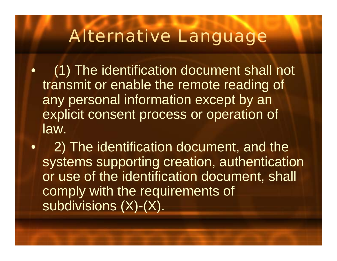- $\bullet$ (1) The identification document shall not transmit or enable the remote reading of any personal information except by an explicit consent process or operation of law.
- •2) The identification document, and the systems supporting creation, authentication or use of the identification document, shall comply with the requirements of subdivisions (X)-(X).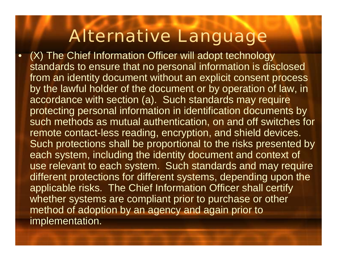•(X) The Chief Information Officer will adopt technology standards to ensure that no personal information is disclosed from an identity document without an explicit consent process by the lawful holder of the document or by operation of law, in accordance with section (a). Such standards may require protecting personal information in identification documents by such methods as mutual authentication, on and off switches for remote contact-less reading, encryption, and shield devices. Such protections shall be proportional to the risks presented by each system, including the identity document and context of use relevant to each system. Such standards and may require different protections for different systems, depending upon the applicable risks. The Chief Information Officer shall certify whether systems are compliant prior to purchase or other method of adoption by an agency and again prior to implementation.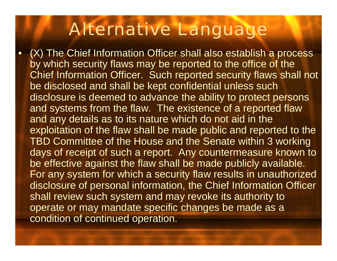•

(X) The Chief Information Officer shall also establish a process by which security flaws may be reported to the office of the Chief Information Officer. Such reported security flaws shall not be disclosed and shall be kept confidential unless such disclosure is deemed to advance the ability to protect persons and systems from the flaw. The existence of a reported flaw and any details as to its nature which do not aid in the exploitation of the flaw shall be made public and reported to the TBD Committee of the House and the Senate within 3 working days of receipt of such a report. Any countermeasure known to be effective against the flaw shall be made publicly available. For any system for which a security flaw results in unauthorized disclosure of personal information, the Chief Information Officer shall review such system and may revoke its authority to operate or may mandate specific changes be made as a condition of continued operation.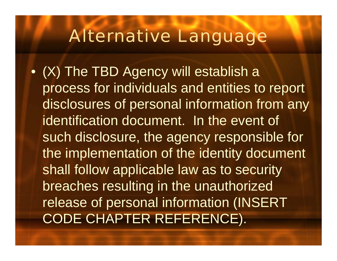• (X) The TBD Agency will establish a process for individuals and entities to report disclosures of personal information from any identification document. In the event of such disclosure, the agency responsible for the implementation of the identity document shall follow applicable law as to security breaches resulting in the unauthorized release of personal information (INSERT CODE CHAPTER REFERENCE).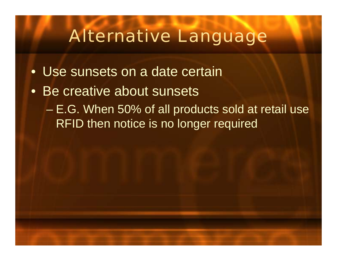- •Use sunsets on a date certain
- Be creative about sunsets
	- $\mathcal{L}_{\mathcal{A}}$  , the set of the set of the set of the set of the set of the set of the set of the set of the set of the set of the set of the set of the set of the set of the set of the set of the set of the set of the se E.G. When 50% of all products sold at retail use RFID then notice is no longer required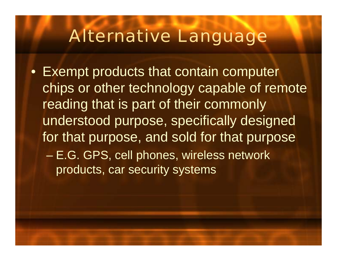• Exempt products that contain computer chips or other technology capable of remote reading that is part of their commonly understood purpose, specifically designed for that purpose, and sold for that purpose  $\mathcal{L}_{\mathcal{A}}$  , the set of the set of the set of the set of the set of the set of the set of the set of the set of the set of the set of the set of the set of the set of the set of the set of the set of the set of the se E.G. GPS, cell phones, wireless network products, car security systems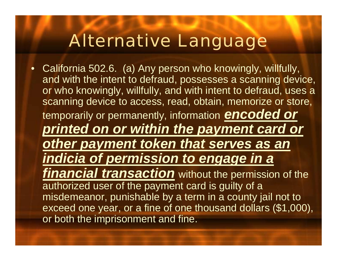• California 502.6. (a) Any person who knowingly, willfully, and with the intent to defraud, possesses a scanning device, or who knowingly, willfully, and with intent to defraud, uses a scanning device to access, read, obtain, memorize or store, temporarily or permanently, information *encoded or printed on or within the payment card or other payment token that serves as an indicia of permission to engage in a financial transaction* without the permission of the authorized user of the payment card is guilty of a misdemeanor, punishable by a term in a county jail not to exceed one year, or a fine of one thousand dollars (\$1,000), or both the imprisonment and fine.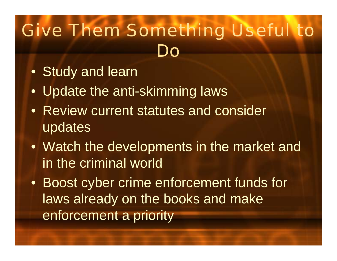## Give Them Something Useful to Do

- Study and learn
- Update the anti-skimming laws
- Review current statutes and consider updates
- Watch the developments in the market and in the criminal world
- Boost cyber crime enforcement funds for laws already on the books and make enforcement a priority